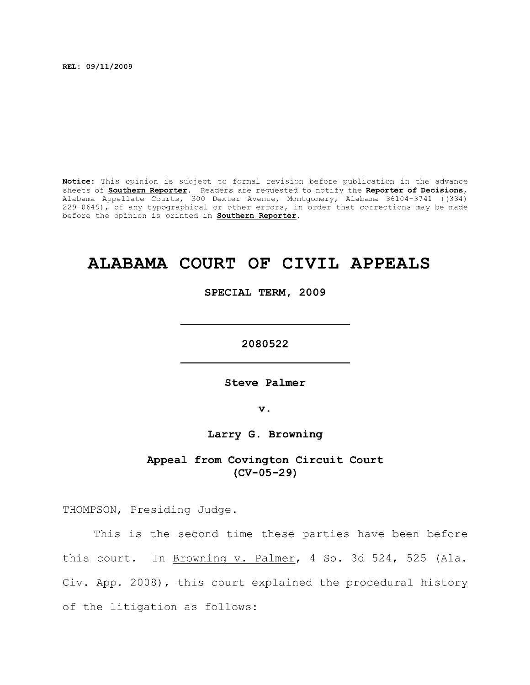**REL: 09/11/2009** 

**Notice:** This opinion is subject to formal revision before publication in the advance sheets of **Southern Reporter.** Readers are requested to notify the **Reporter of Decisions,**  Alabama Appellate Courts, 300 Dexter Avenue, Montgomery, Alabama 36104-3741 ((334) 229-0649), of any typographical or other errors, in order that corrections may be made before the opinion is printed in **Southern Reporter.** 

# **ALABAMA COURT OF CIVIL APPEALS**

**SPECIAL TERM, 2009** 

**2080522** 

Steve Palmer

**V .** 

**Larry G. Browning** 

**Appeal from Covington Circuit Court (CV-05-29)** 

THOMPSON, Presiding Judge.

This is the second time these parties have been before this court. In Browning v. Palmer, 4 So. 3d 524, 525 (Ala. Civ. App. 2008), this court explained the procedural history of the litigation as follows: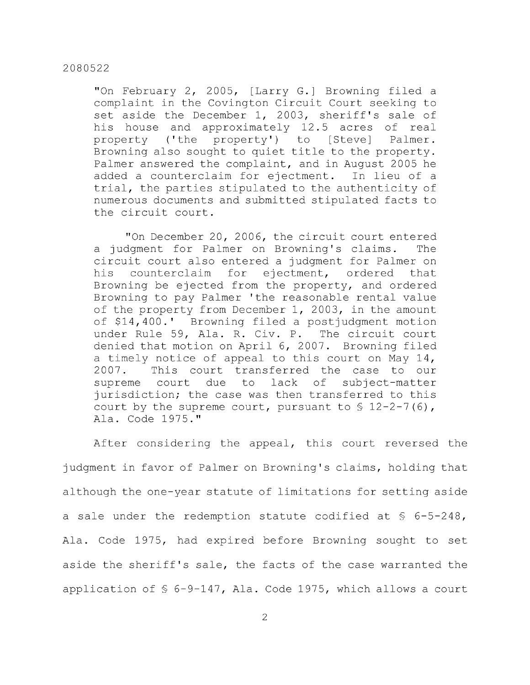"On February 2, 2005, [Larry G.] Browning filed a complaint in the Covington Circuit Court seeking to set aside the December 1, 2003, sheriff's sale of his house and approximately 12.5 acres of real property ('the property') to [Steve] Palmer. Browning also sought to quiet title to the property. Palmer answered the complaint, and in August 2005 he added a counterclaim for ejectment. In lieu of a trial, the parties stipulated to the authenticity of numerous documents and submitted stipulated facts to the circuit court.

"On December 20, 2006, the circuit court entered a judgment for Palmer on Browning's claims. The circuit court also entered a judgment for Palmer on his counterclaim for ejectment, ordered that Browning be ejected from the property, and ordered Browning to pay Palmer 'the reasonable rental value of the property from December 1, 2003, in the amount of \$14,400.' Browning filed a postjudgment motion under Rule 59, Ala. R. Civ. P. The circuit court denied that motion on April 6, 2007. Browning filed a timely notice of appeal to this court on May 14, 2007. This court transferred the case to our supreme court due to lack of subject-matter jurisdiction; the case was then transferred to this court by the supreme court, pursuant to  $\S$  12-2-7(6), Ala. Code 1975."

After considering the appeal, this court reversed the judgment in favor of Palmer on Browning's claims, holding that although the one-year statute of limitations for setting aside a sale under the redemption statute codified at  $\S$  6-5-248, Ala. Code 1975, had expired before Browning sought to set aside the sheriff's sale, the facts of the case warranted the application of § 6-9-147, Ala. Code 1975, which allows a court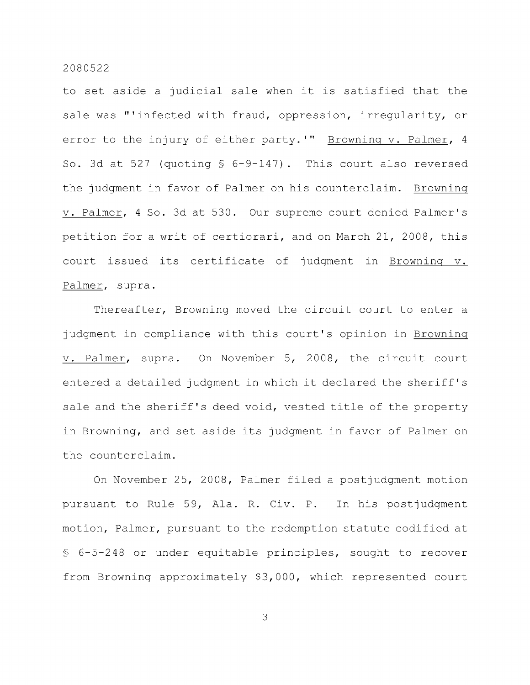to set aside a judicial sale when it is satisfied that the sale was "'infected with fraud, oppression, irregularity, or error to the injury of either party.'" Browning v. Palmer, 4 So. 3d at 527 (guoting § 6-9-147). This court also reversed the judgment in favor of Palmer on his counterclaim. Browning V. Palmer, 4 So. 3d at 530. Our supreme court denied Palmer's petition for a writ of certiorari, and on March 21, 2008, this court issued its certificate of judgment in Browning v. Palmer, supra.

Thereafter, Browning moved the circuit court to enter a judgment in compliance with this court's opinion in Browning V. Palmer, supra. On November 5, 2008, the circuit court entered a detailed judgment in which it declared the sheriff's sale and the sheriff's deed void, vested title of the property in Browning, and set aside its judgment in favor of Palmer on the counterclaim.

On November 25, 2008, Palmer filed a postjudgment motion pursuant to Rule 59, Ala. R. Civ. P. In his postjudgment motion. Palmer, pursuant to the redemption statute codified at § 6-5-248 or under equitable principles, sought to recover from Browning approximately \$3,000, which represented court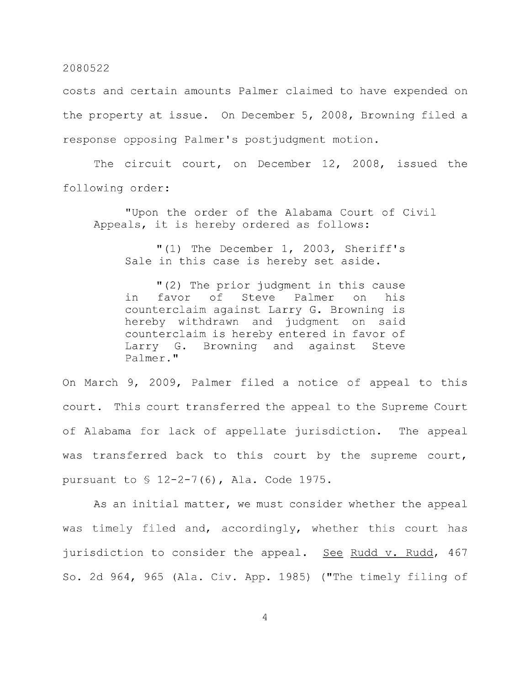costs and certain amounts Palmer claimed to have expended on the property at issue. On December 5, 2008, Browning filed a response opposing Palmer's postjudgment motion.

The circuit court, on December 12, 2008, issued the following order:

"Upon the order of the Alabama Court of Civil Appeals, it is hereby ordered as follows:

"(1) The December 1, 2003, Sheriff's Sale in this case is hereby set aside.

"(2) The prior judgment in this cause in favor of Steve Palmer on his counterclaim against Larry G. Browning is hereby withdrawn and judgment on said counterclaim is hereby entered in favor of Larry G. Browning and against Steve Palmer."

On March 9, 2009, Palmer filed a notice of appeal to this court. This court transferred the appeal to the Supreme Court of Alabama for lack of appellate jurisdiction. The appeal was transferred back to this court by the supreme court, pursuant to § 12-2-7(6), Ala. Code 1975.

As an initial matter, we must consider whether the appeal was timely filed and, accordingly, whether this court has jurisdiction to consider the appeal. See Rudd v. Rudd, 467 So. 2d 964, 965 (Ala. Civ. App. 1985) ("The timely filing of

 $\overline{4}$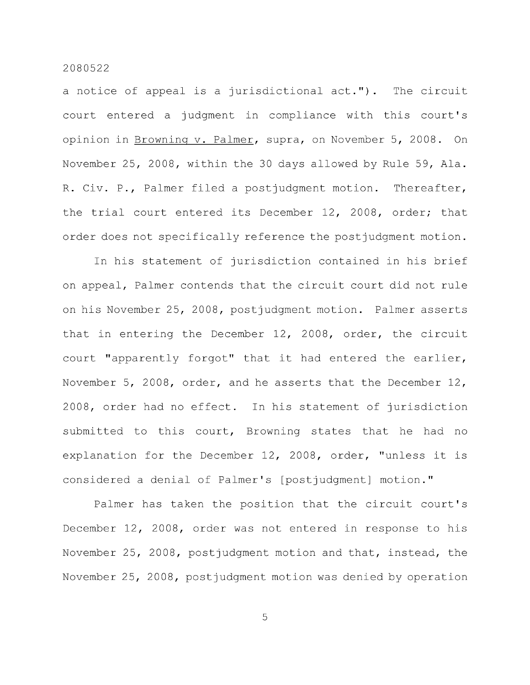a notice of appeal is a jurisdictional act."). The circuit court entered a judgment in compliance with this court's opinion in Browning v. Palmer, supra, on November 5, 2008. On November 25, 2008, within the 30 days allowed by Rule 59, Ala. R. Civ. P., Palmer filed a postjudgment motion. Thereafter, the trial court entered its December 12, 2008, order; that order does not specifically reference the postjudgment motion.

In his statement of jurisdiction contained in his brief on appeal. Palmer contends that the circuit court did not rule on his November 25, 2008, postjudgment motion. Palmer asserts that in entering the December 12, 2008, order, the circuit court "apparently forgot" that it had entered the earlier, November 5, 2008, order, and he asserts that the December 12, 2008, order had no effect. In his statement of jurisdiction submitted to this court, Browning states that he had no explanation for the December 12, 2008, order, "unless it is considered a denial of Palmer's [postjudgment] motion."

Palmer has taken the position that the circuit court's December 12, 2008, order was not entered in response to his November 25, 2008, postjudgment motion and that, instead, the November 25, 2008, postjudgment motion was denied by operation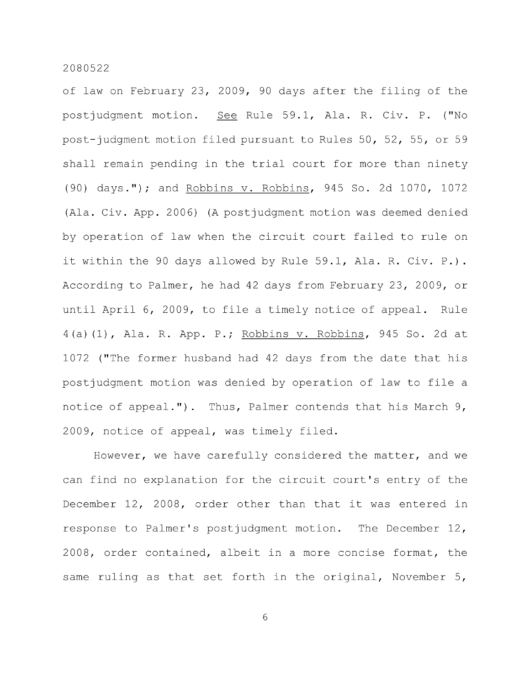of law on February 23, 2009, 90 days after the filing of the postjudgment motion. See Rule 59.1, Ala. R. Civ. P. ("No post-judgment motion filed pursuant to Rules 50, 52, 55, or 59 shall remain pending in the trial court for more than ninety (90) days."); and Robbins v. Robbins, 945 So. 2d 1070, 1072 (Ala. Civ. App. 2006) (A postjudgment motion was deemed denied by operation of law when the circuit court failed to rule on it within the 90 days allowed by Rule 59.1, Ala. R. Civ. P.). According to Palmer, he had 42 days from February 23, 2009, or until April 6, 2009, to file a timely notice of appeal. Rule 4(a)(1), Ala. R. App. P.; Robbins v. Robbins, 945 So. 2d at 1072 ("The former husband had 42 days from the date that his postjudgment motion was denied by operation of law to file a notice of appeal."). Thus, Palmer contends that his March 9, 2009, notice of appeal, was timely filed.

However, we have carefully considered the matter, and we can find no explanation for the circuit court's entry of the December 12, 2008, order other than that it was entered in response to Palmer's postjudgment motion. The December 12, 2008, order contained, albeit in a more concise format, the same ruling as that set forth in the original, November 5,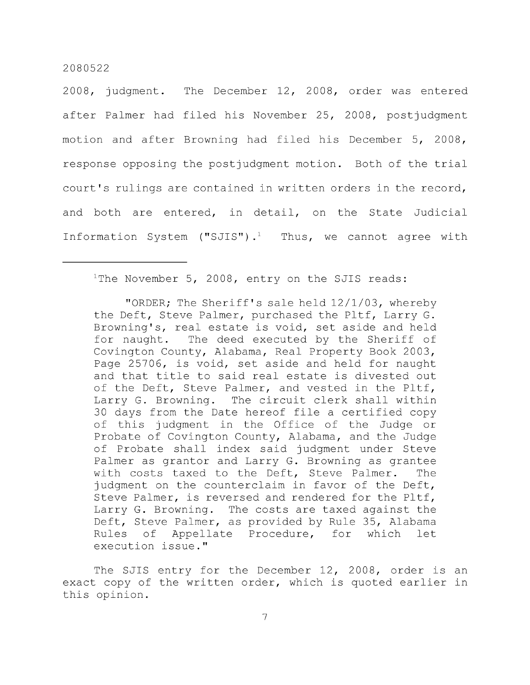2008, judgment. The December 12, 2008, order was entered after Palmer had filed his November 25, 2008, postjudgment motion and after Browning had filed his December 5, 2008, response opposing the postjudgment motion. Both of the trial court's rulings are contained in written orders in the record, and both are entered, in detail, on the State Judicial Information System ("SJIS").<sup>1</sup> Thus, we cannot agree with

## $1$ The November 5, 2008, entry on the SJIS reads:

"ORDER; The Sheriff's sale held 12/1/03, whereby the Deft, Steve Palmer, purchased the Pltf, Larry G. Browning's, real estate is void, set aside and held for naught. The deed executed by the Sheriff of Covington County, Alabama, Real Property Book 2003, Page 25706, is void, set aside and held for naught and that title to said real estate is divested out of the Deft, Steve Palmer, and vested in the Pltf, Larry G. Browning. The circuit clerk shall within 30 days from the Date hereof file a certified copy of this judgment in the Office of the Judge or Probate of Covington County, Alabama, and the Judge of Probate shall index said judgment under Steve Palmer as grantor and Larry G. Browning as grantee with costs taxed to the Deft, Steve Palmer. The judgment on the counterclaim in favor of the Deft, Steve Palmer, is reversed and rendered for the Pltf, Larry G. Browning. The costs are taxed against the Deft, Steve Palmer, as provided by Rule 35, Alabama Rules of Appellate Procedure, for which let execution issue."

The SJIS entry for the December 12, 2008, order is an exact copy of the written order, which is quoted earlier in this opinion.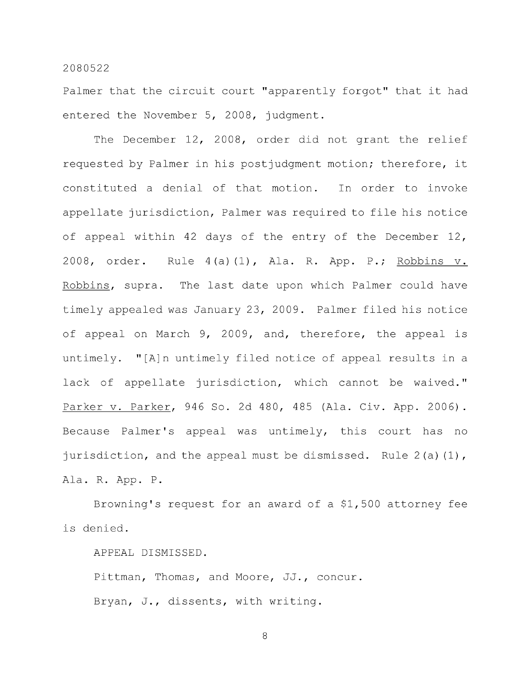Palmer that the circuit court "apparently forgot" that it had entered the November 5, 2008, judgment.

The December 12, 2008, order did not grant the relief requested by Palmer in his postjudgment motion; therefore, it constituted a denial of that motion. In order to invoke appellate jurisdiction. Palmer was required to file his notice of appeal within 42 days of the entry of the December 12, 2008, order. Rule 4(a)(1), Ala. R. App. P.; Robbins v. Robbins, supra. The last date upon which Palmer could have timely appealed was January 23, 2009. Palmer filed his notice of appeal on March 9, 2009, and, therefore, the appeal is untimely. "[A]n untimely filed notice of appeal results in a lack of appellate jurisdiction, which cannot be waived." Parker v. Parker, 946 So. 2d 480, 485 (Ala. Civ. App. 2006). Because Palmer's appeal was untimely, this court has no jurisdiction, and the appeal must be dismissed. Rule 2(a) (1), Ala. R. App. P.

Browning's request for an award of a \$1,500 attorney fee is denied.

APPEAL DISMISSED.

Pittman, Thomas, and Moore, JJ., concur. Bryan, J., dissents, with writing.